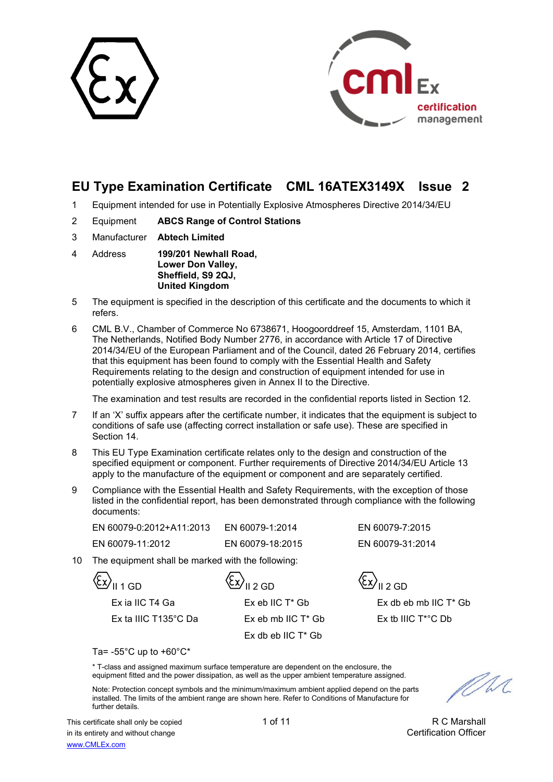



# **EU Type Examination Certificate CML 16ATEX3149X Issue 2**

- 1 Equipment intended for use in Potentially Explosive Atmospheres Directive 2014/34/EU
- 2 Equipment **ABCS Range of Control Stations**
- 3 Manufacturer **Abtech Limited**
- 4 Address **199/201 Newhall Road, Lower Don Valley, Sheffield, S9 2QJ, United Kingdom**
- 5 The equipment is specified in the description of this certificate and the documents to which it refers.
- 6 CML B.V., Chamber of Commerce No 6738671, Hoogoorddreef 15, Amsterdam, 1101 BA, The Netherlands, Notified Body Number 2776, in accordance with Article 17 of Directive 2014/34/EU of the European Parliament and of the Council, dated 26 February 2014, certifies that this equipment has been found to comply with the Essential Health and Safety Requirements relating to the design and construction of equipment intended for use in potentially explosive atmospheres given in Annex II to the Directive.

The examination and test results are recorded in the confidential reports listed in Section 12.

- 7 If an 'X' suffix appears after the certificate number, it indicates that the equipment is subject to conditions of safe use (affecting correct installation or safe use). These are specified in Section 14.
- 8 This EU Type Examination certificate relates only to the design and construction of the specified equipment or component. Further requirements of Directive 2014/34/EU Article 13 apply to the manufacture of the equipment or component and are separately certified.
- 9 Compliance with the Essential Health and Safety Requirements, with the exception of those listed in the confidential report, has been demonstrated through compliance with the following documents:

 EN 60079-0:2012+A11:2013 EN 60079-1:2014 EN 60079-7:2015 EN 60079-11:2012 EN 60079-18:2015 EN 60079-31:2014

10 The equipment shall be marked with the following:

 $\langle \xi_{\mathbf{x}} \rangle_{\mathsf{II} \text{ 1 GDD}}$   $\langle \xi_{\mathbf{x}} \rangle_{\mathsf{II} \text{ 2 GDD}}$   $\langle \xi_{\mathbf{x}} \rangle_{\mathsf{II} \text{ 2 GDD}}$  $Ex$  ia IIC T4 Ga Exeb IIC T<sup>\*</sup> Gb Ex db eb mb IIC T<sup>\*</sup> Gb Ex ta IIIC T135°C Da Ex eb mb IIC T<sup>\*</sup> Gb Ex tb IIIC T<sup>\*</sup>°C Db

Ex db eb IIC T\* Gb

Ta= $-55^{\circ}$ C up to  $+60^{\circ}$ C\*

\* T-class and assigned maximum surface temperature are dependent on the enclosure, the equipment fitted and the power dissipation, as well as the upper ambient temperature assigned.

Note: Protection concept symbols and the minimum/maximum ambient applied depend on the parts installed. The limits of the ambient range are shown here. Refer to Conditions of Manufacture for further details.

This certificate shall only be copied 1 of 11 R C Marshall in its entirety and without change www.CMLEx.com

The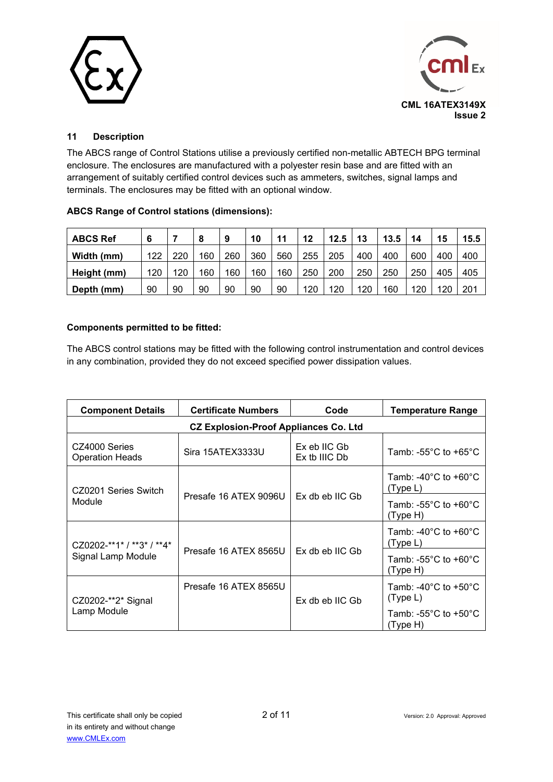



# **11 Description**

The ABCS range of Control Stations utilise a previously certified non-metallic ABTECH BPG terminal enclosure. The enclosures are manufactured with a polyester resin base and are fitted with an arrangement of suitably certified control devices such as ammeters, switches, signal lamps and terminals. The enclosures may be fitted with an optional window.

# **ABCS Range of Control stations (dimensions):**

| <b>ABCS Ref</b> | 6   |     | 8   | 9   | 10  | 11  | 12  | 12.5 | 13  | 13.5 | 14  | 15  | 15.5 |
|-----------------|-----|-----|-----|-----|-----|-----|-----|------|-----|------|-----|-----|------|
| Width (mm)      | 122 | 220 | 160 | 260 | 360 | 560 | 255 | 205  | 400 | 400  | 600 | 400 | 400  |
| Height (mm)     | 120 | 120 | 160 | 160 | 160 | 160 | 250 | 200  | 250 | 250  | 250 | 405 | 405  |
| Depth (mm)      | 90  | 90  | 90  | 90  | 90  | 90  | 120 | 120  | 120 | 160  | 120 | 120 | 201  |

# **Components permitted to be fitted:**

The ABCS control stations may be fitted with the following control instrumentation and control devices in any combination, provided they do not exceed specified power dissipation values.

| <b>Component Details</b>                     | <b>Certificate Numbers</b> | Code                          | Temperature Range                                      |  |  |  |  |
|----------------------------------------------|----------------------------|-------------------------------|--------------------------------------------------------|--|--|--|--|
| <b>CZ Explosion-Proof Appliances Co. Ltd</b> |                            |                               |                                                        |  |  |  |  |
| CZ4000 Series<br><b>Operation Heads</b>      | Sira 15ATEX3333U           | Ex eb IIC Gb<br>Ex tb IIIC Db | Tamb: -55 $^{\circ}$ C to +65 $^{\circ}$ C             |  |  |  |  |
| CZ0201 Series Switch                         |                            |                               | Tamb: -40 $^{\circ}$ C to +60 $^{\circ}$ C<br>(Type L) |  |  |  |  |
| Module                                       | Presafe 16 ATEX 9096U      | Ex db eb IIC Gb               | Tamb: -55 $^{\circ}$ C to +60 $^{\circ}$ C<br>(Type H) |  |  |  |  |
| CZ0202-**1* / **3* / **4*                    |                            |                               | Tamb: -40 $^{\circ}$ C to +60 $^{\circ}$ C<br>(Type L) |  |  |  |  |
| Signal Lamp Module                           | Presafe 16 ATEX 8565U      | Ex db eb IIC Gb               | Tamb: -55 $^{\circ}$ C to +60 $^{\circ}$ C<br>(Type H) |  |  |  |  |
| CZ0202-**2* Signal                           | Presafe 16 ATEX 8565U      | Ex db eb IIC Gb               | Tamb: -40 $^{\circ}$ C to +50 $^{\circ}$ C<br>(Type L) |  |  |  |  |
| Lamp Module                                  |                            |                               | Tamb: -55 $^{\circ}$ C to +50 $^{\circ}$ C<br>(Type H) |  |  |  |  |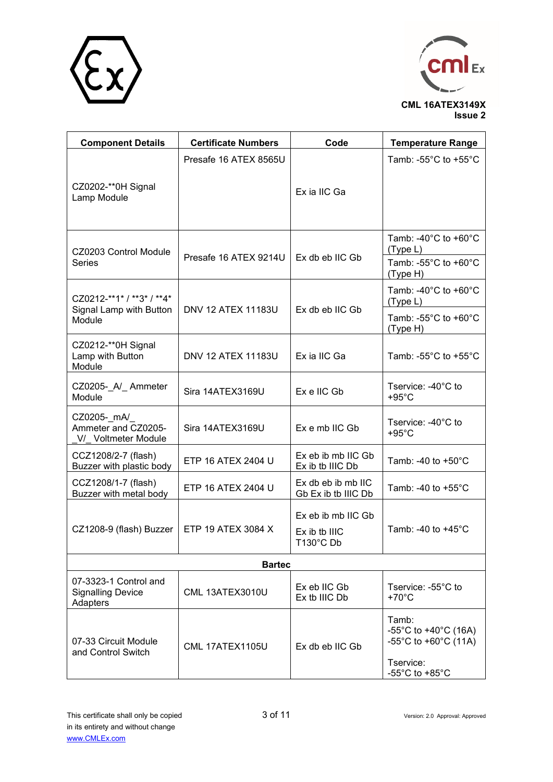



| <b>Component Details</b>                                      | <b>Certificate Numbers</b> | Code                                      | <b>Temperature Range</b>                                                       |  |  |  |  |
|---------------------------------------------------------------|----------------------------|-------------------------------------------|--------------------------------------------------------------------------------|--|--|--|--|
|                                                               | Presafe 16 ATEX 8565U      |                                           | Tamb: -55°C to +55°C                                                           |  |  |  |  |
| CZ0202-**0H Signal<br>Lamp Module                             |                            | Ex ia IIC Ga                              |                                                                                |  |  |  |  |
| CZ0203 Control Module<br>Series                               | Presafe 16 ATEX 9214U      | Ex db eb IIC Gb                           | Tamb: -40 $^{\circ}$ C to +60 $^{\circ}$ C<br>(Type L)<br>Tamb: -55°C to +60°C |  |  |  |  |
|                                                               |                            |                                           | (Type H)                                                                       |  |  |  |  |
| CZ0212-**1* / **3* / **4*                                     |                            | Ex db eb IIC Gb                           | Tamb: -40 $^{\circ}$ C to +60 $^{\circ}$ C<br>(Type L)                         |  |  |  |  |
| Signal Lamp with Button<br>Module                             | <b>DNV 12 ATEX 11183U</b>  |                                           | Tamb: -55°C to +60°C<br>(Type H)                                               |  |  |  |  |
| CZ0212-**0H Signal<br>Lamp with Button<br>Module              | <b>DNV 12 ATEX 11183U</b>  | Ex ia IIC Ga                              | Tamb: - $55^{\circ}$ C to + $55^{\circ}$ C                                     |  |  |  |  |
| CZ0205- A/ Ammeter<br>Module                                  | Sira 14ATEX3169U           | Ex e IIC Gb                               | Tservice: -40°C to<br>$+95^{\circ}$ C                                          |  |  |  |  |
| CZ0205-_mA/_<br>Ammeter and CZ0205-<br>V/ Voltmeter Module    | Sira 14ATEX3169U           | Ex e mb IIC Gb                            | Tservice: -40°C to<br>$+95^{\circ}$ C                                          |  |  |  |  |
| CCZ1208/2-7 (flash)<br>Buzzer with plastic body               | ETP 16 ATEX 2404 U         | Ex eb ib mb IIC Gb<br>Ex ib tb IIIC Db    | Tamb: -40 to +50°C                                                             |  |  |  |  |
| CCZ1208/1-7 (flash)<br>Buzzer with metal body                 | ETP 16 ATEX 2404 U         | Ex db eb ib mb IIC<br>Gb Ex ib tb IIIC Db | Tamb: -40 to +55°C                                                             |  |  |  |  |
|                                                               |                            | Ex eb ib mb IIC Gb                        |                                                                                |  |  |  |  |
| CZ1208-9 (flash) Buzzer                                       | ETP 19 ATEX 3084 X         | Ex ib tb IIIC<br>T130°C Db                | Tamb: -40 to $+45^{\circ}$ C                                                   |  |  |  |  |
| <b>Bartec</b>                                                 |                            |                                           |                                                                                |  |  |  |  |
| 07-3323-1 Control and<br><b>Signalling Device</b><br>Adapters | CML 13ATEX3010U            | Ex eb IIC Gb<br>Ex tb IIIC Db             | Tservice: -55°C to<br>$+70^{\circ}$ C                                          |  |  |  |  |
| 07-33 Circuit Module<br>and Control Switch                    | <b>CML 17ATEX1105U</b>     | Ex db eb IIC Gb                           | Tamb:<br>-55°C to +40°C (16A)<br>-55°C to +60°C (11A)                          |  |  |  |  |
|                                                               |                            |                                           | Tservice:<br>-55 $^{\circ}$ C to +85 $^{\circ}$ C                              |  |  |  |  |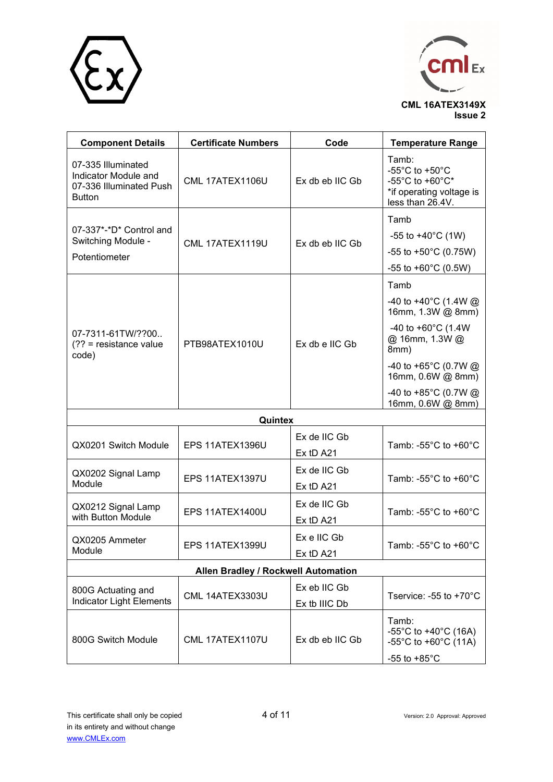



**Issue 2** 

| <b>Component Details</b>                                                               | <b>Certificate Numbers</b> | Code                          | <b>Temperature Range</b>                                                                                                               |  |  |  |
|----------------------------------------------------------------------------------------|----------------------------|-------------------------------|----------------------------------------------------------------------------------------------------------------------------------------|--|--|--|
| 07-335 Illuminated<br>Indicator Module and<br>07-336 Illuminated Push<br><b>Button</b> | CML 17ATEX1106U            | Ex db eb IIC Gb               | Tamb:<br>-55 $^{\circ}$ C to +50 $^{\circ}$ C<br>-55 $^{\circ}$ C to +60 $^{\circ}$ C*<br>*if operating voltage is<br>less than 26.4V. |  |  |  |
|                                                                                        |                            |                               | Tamb                                                                                                                                   |  |  |  |
| 07-337*-*D* Control and<br>Switching Module -                                          |                            |                               | $-55$ to $+40^{\circ}$ C (1W)                                                                                                          |  |  |  |
| Potentiometer                                                                          | CML 17ATEX1119U            | Ex db eb IIC Gb               | -55 to +50 $^{\circ}$ C (0.75W)                                                                                                        |  |  |  |
|                                                                                        |                            |                               | -55 to +60 $^{\circ}$ C (0.5W)                                                                                                         |  |  |  |
|                                                                                        |                            |                               | Tamb                                                                                                                                   |  |  |  |
|                                                                                        |                            |                               | -40 to +40°C (1.4W @<br>16mm, 1.3W @ 8mm)                                                                                              |  |  |  |
| 07-7311-61TW/??00<br>$(?? = resistance value$<br>code)                                 | PTB98ATEX1010U             | Ex db e IIC Gb                | -40 to +60 $^{\circ}$ C (1.4W<br>@ 16mm, 1.3W @<br>8mm)                                                                                |  |  |  |
|                                                                                        |                            |                               | -40 to +65°C (0.7W @<br>16mm, 0.6W @ 8mm)                                                                                              |  |  |  |
|                                                                                        |                            |                               | -40 to +85°C (0.7W @<br>16mm, 0.6W @ 8mm)                                                                                              |  |  |  |
|                                                                                        | Quintex                    |                               |                                                                                                                                        |  |  |  |
| QX0201 Switch Module                                                                   | EPS 11ATEX1396U            | Ex de IIC Gb<br>Ex tD A21     | Tamb: - $55^{\circ}$ C to +60 $^{\circ}$ C                                                                                             |  |  |  |
| QX0202 Signal Lamp<br>Module                                                           | EPS 11ATEX1397U            | Ex de IIC Gb<br>Ex tD A21     | Tamb: - $55^{\circ}$ C to +60 $^{\circ}$ C                                                                                             |  |  |  |
|                                                                                        |                            | Ex de IIC Gb                  |                                                                                                                                        |  |  |  |
| QX0212 Signal Lamp<br>with Button Module                                               | EPS 11ATEX1400U            | Ex tD A21                     | Tamb: - $55^{\circ}$ C to +60 $^{\circ}$ C                                                                                             |  |  |  |
| QX0205 Ammeter                                                                         |                            | Ex e IIC Gb                   |                                                                                                                                        |  |  |  |
| Module                                                                                 | EPS 11ATEX1399U            | $Ex$ tD A21                   | Tamb: - $55^{\circ}$ C to +60 $^{\circ}$ C                                                                                             |  |  |  |
| Allen Bradley / Rockwell Automation                                                    |                            |                               |                                                                                                                                        |  |  |  |
| 800G Actuating and<br><b>Indicator Light Elements</b>                                  | CML 14ATEX3303U            | Ex eb IIC Gb<br>Ex tb IIIC Db | Tservice: -55 to $+70^{\circ}$ C                                                                                                       |  |  |  |
| 800G Switch Module                                                                     | CML 17ATEX1107U            | Ex db eb IIC Gb               | Tamb:<br>-55°C to +40°C (16A)<br>-55°C to +60°C (11A)                                                                                  |  |  |  |
|                                                                                        |                            |                               | $-55$ to $+85^{\circ}$ C                                                                                                               |  |  |  |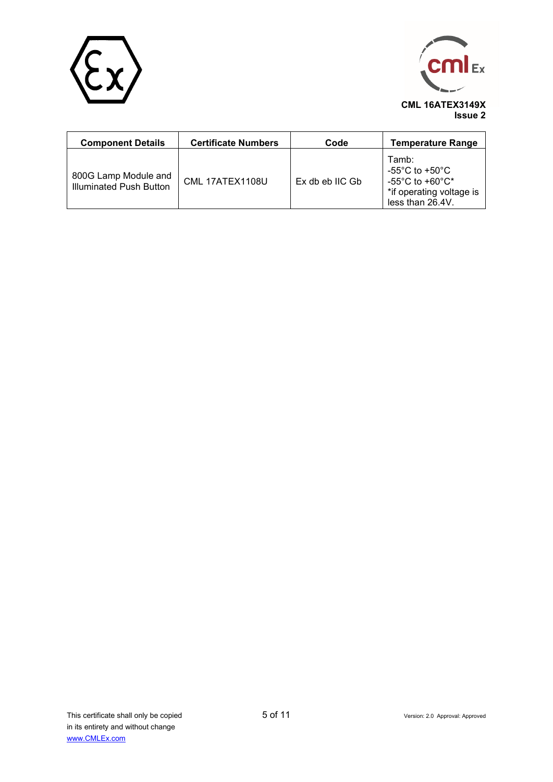



| <b>Component Details</b>                               | <b>Certificate Numbers</b> | Code            | <b>Temperature Range</b>                                                                                                             |
|--------------------------------------------------------|----------------------------|-----------------|--------------------------------------------------------------------------------------------------------------------------------------|
| 800G Lamp Module and<br><b>Illuminated Push Button</b> | CML 17ATEX1108U            | Ex db eb IIC Gb | Tamb:<br>-55 $^{\circ}$ C to +50 $^{\circ}$ C<br>$-55^{\circ}$ C to $+60^{\circ}$ C*<br>*if operating voltage is<br>less than 26.4V. |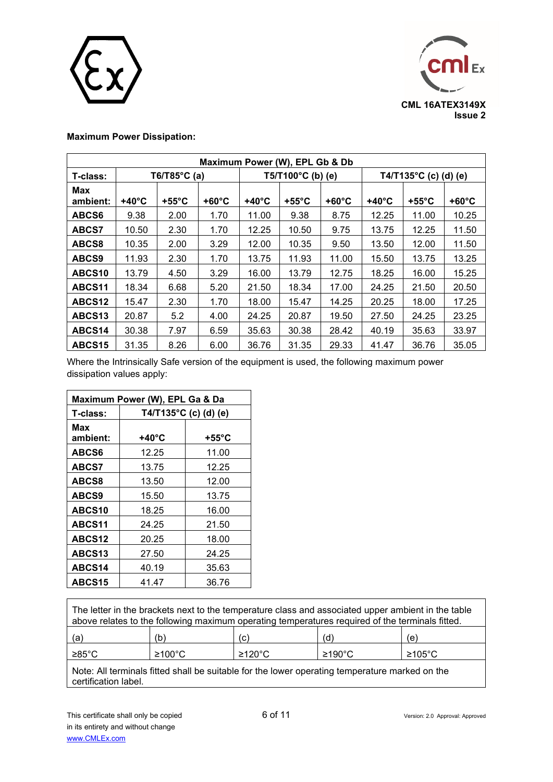



## **Maximum Power Dissipation:**

| Maximum Power (W), EPL Gb & Db |                 |                         |                 |                   |                 |                 |                 |                       |                 |  |
|--------------------------------|-----------------|-------------------------|-----------------|-------------------|-----------------|-----------------|-----------------|-----------------------|-----------------|--|
| T-class:                       |                 | T6/T85 $^{\circ}$ C (a) |                 | T5/T100°C (b) (e) |                 |                 |                 | T4/T135°C (c) (d) (e) |                 |  |
| <b>Max</b><br>ambient:         | $+40^{\circ}$ C | +55 $^{\circ}$ C        | $+60^{\circ}$ C | $+40^{\circ}$ C   | $+55^{\circ}$ C | $+60^{\circ}$ C | $+40^{\circ}$ C | $+55^{\circ}$ C       | $+60^{\circ}$ C |  |
| ABCS6                          | 9.38            | 2.00                    | 1.70            | 11.00             | 9.38            | 8.75            | 12.25           | 11.00                 | 10.25           |  |
| <b>ABCS7</b>                   | 10.50           | 2.30                    | 1.70            | 12.25             | 10.50           | 9.75            | 13.75           | 12.25                 | 11.50           |  |
| ABCS8                          | 10.35           | 2.00                    | 3.29            | 12.00             | 10.35           | 9.50            | 13.50           | 12.00                 | 11.50           |  |
| ABCS9                          | 11.93           | 2.30                    | 1.70            | 13.75             | 11.93           | 11.00           | 15.50           | 13.75                 | 13.25           |  |
| ABCS10                         | 13.79           | 4.50                    | 3.29            | 16.00             | 13.79           | 12.75           | 18.25           | 16.00                 | 15.25           |  |
| ABCS11                         | 18.34           | 6.68                    | 5.20            | 21.50             | 18.34           | 17.00           | 24.25           | 21.50                 | 20.50           |  |
| ABCS <sub>12</sub>             | 15.47           | 2.30                    | 1.70            | 18.00             | 15.47           | 14.25           | 20.25           | 18.00                 | 17.25           |  |
| ABCS13                         | 20.87           | 5.2                     | 4.00            | 24.25             | 20.87           | 19.50           | 27.50           | 24.25                 | 23.25           |  |
| ABCS14                         | 30.38           | 7.97                    | 6.59            | 35.63             | 30.38           | 28.42           | 40.19           | 35.63                 | 33.97           |  |
| ABCS15                         | 31.35           | 8.26                    | 6.00            | 36.76             | 31.35           | 29.33           | 41.47           | 36.76                 | 35.05           |  |

Where the Intrinsically Safe version of the equipment is used, the following maximum power dissipation values apply:

| Maximum Power (W), EPL Ga & Da |                       |       |  |  |  |
|--------------------------------|-----------------------|-------|--|--|--|
| <b>T-class:</b>                | T4/T135°C (c) (d) (e) |       |  |  |  |
| Max<br>ambient:                | $+40^{\circ}$ C       | +55°C |  |  |  |
| ABCS6                          | 12.25                 | 11.00 |  |  |  |
| <b>ABCS7</b>                   | 13.75                 | 12.25 |  |  |  |
| ABCS8                          | 13.50                 | 12.00 |  |  |  |
| ABCS9                          | 15.50                 | 13.75 |  |  |  |
| ABCS <sub>10</sub>             | 18.25                 | 16.00 |  |  |  |
| ABCS11                         | 24.25                 | 21.50 |  |  |  |
| ABCS12                         | 20.25                 | 18.00 |  |  |  |
| ABCS <sub>13</sub>             | 27.50                 | 24.25 |  |  |  |
| ABCS14                         | 40.19                 | 35.63 |  |  |  |
| <b>ABCS15</b>                  | 41.47                 | 36.76 |  |  |  |

| The letter in the brackets next to the temperature class and associated upper ambient in the table<br>above relates to the following maximum operating temperatures required of the terminals fitted. |        |        |        |        |  |
|-------------------------------------------------------------------------------------------------------------------------------------------------------------------------------------------------------|--------|--------|--------|--------|--|
| (a)                                                                                                                                                                                                   | (b)    | (C)    | (d)    | (e)    |  |
| $≥85^{\circ}$ C                                                                                                                                                                                       | ≥100°C | ≥120°C | ≥190°C | ≥105°C |  |
|                                                                                                                                                                                                       |        |        |        |        |  |

Note: All terminals fitted shall be suitable for the lower operating temperature marked on the certification label.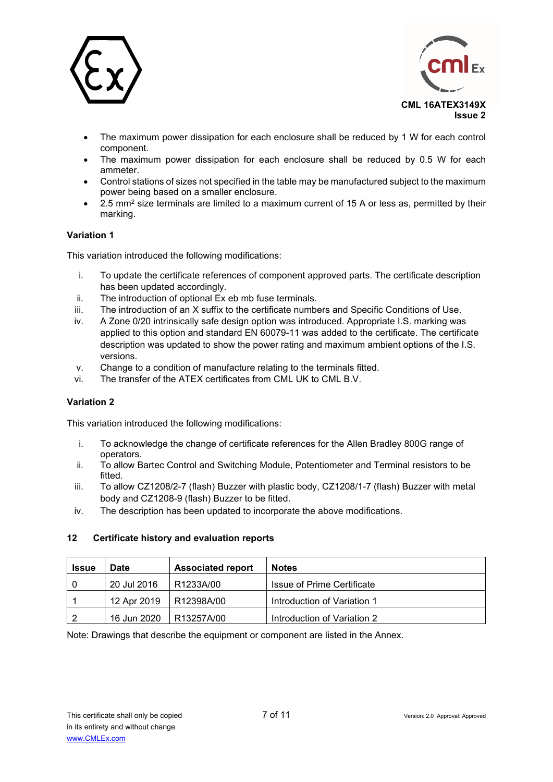



- The maximum power dissipation for each enclosure shall be reduced by 1 W for each control component.
- The maximum power dissipation for each enclosure shall be reduced by 0.5 W for each ammeter.
- Control stations of sizes not specified in the table may be manufactured subject to the maximum power being based on a smaller enclosure.
- 2.5 mm<sup>2</sup> size terminals are limited to a maximum current of 15 A or less as, permitted by their marking.

## **Variation 1**

This variation introduced the following modifications:

- i. To update the certificate references of component approved parts. The certificate description has been updated accordingly.
- ii. The introduction of optional Ex eb mb fuse terminals.
- iii. The introduction of an X suffix to the certificate numbers and Specific Conditions of Use.
- iv. A Zone 0/20 intrinsically safe design option was introduced. Appropriate I.S. marking was applied to this option and standard EN 60079-11 was added to the certificate. The certificate description was updated to show the power rating and maximum ambient options of the I.S. versions.
- v. Change to a condition of manufacture relating to the terminals fitted.
- vi. The transfer of the ATEX certificates from CML UK to CML B.V.

#### **Variation 2**

This variation introduced the following modifications:

- i. To acknowledge the change of certificate references for the Allen Bradley 800G range of operators.
- ii. To allow Bartec Control and Switching Module, Potentiometer and Terminal resistors to be fitted.
- iii. To allow CZ1208/2-7 (flash) Buzzer with plastic body, CZ1208/1-7 (flash) Buzzer with metal body and CZ1208-9 (flash) Buzzer to be fitted.
- iv. The description has been updated to incorporate the above modifications.

#### **12 Certificate history and evaluation reports**

| <b>Issue</b> | <b>Date</b> | <b>Associated report</b> | <b>Notes</b>                |
|--------------|-------------|--------------------------|-----------------------------|
|              | 20 Jul 2016 | R1233A/00                | Issue of Prime Certificate  |
|              | 12 Apr 2019 | R12398A/00               | Introduction of Variation 1 |
|              | 16 Jun 2020 | R13257A/00               | Introduction of Variation 2 |

Note: Drawings that describe the equipment or component are listed in the Annex.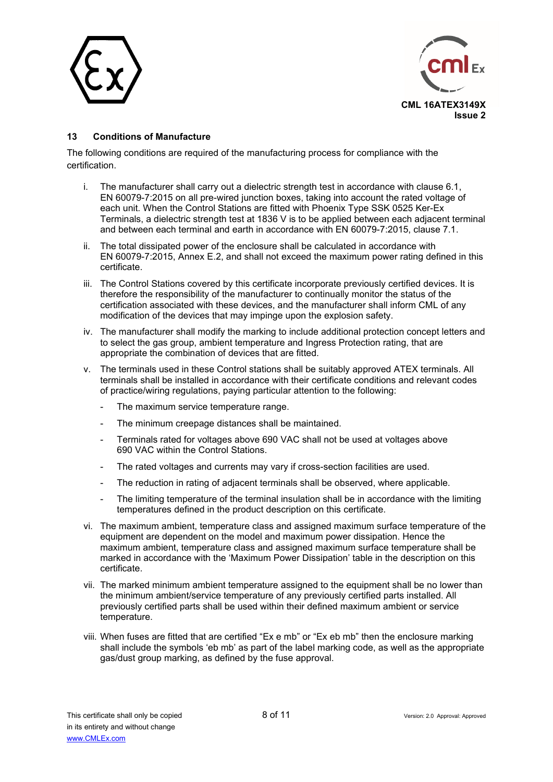



## **13 Conditions of Manufacture**

The following conditions are required of the manufacturing process for compliance with the certification.

- i. The manufacturer shall carry out a dielectric strength test in accordance with clause 6.1, EN 60079-7:2015 on all pre-wired junction boxes, taking into account the rated voltage of each unit. When the Control Stations are fitted with Phoenix Type SSK 0525 Ker-Ex Terminals, a dielectric strength test at 1836 V is to be applied between each adjacent terminal and between each terminal and earth in accordance with EN 60079-7:2015, clause 7.1.
- ii. The total dissipated power of the enclosure shall be calculated in accordance with EN 60079-7:2015, Annex E.2, and shall not exceed the maximum power rating defined in this certificate.
- iii. The Control Stations covered by this certificate incorporate previously certified devices. It is therefore the responsibility of the manufacturer to continually monitor the status of the certification associated with these devices, and the manufacturer shall inform CML of any modification of the devices that may impinge upon the explosion safety.
- iv. The manufacturer shall modify the marking to include additional protection concept letters and to select the gas group, ambient temperature and Ingress Protection rating, that are appropriate the combination of devices that are fitted.
- v. The terminals used in these Control stations shall be suitably approved ATEX terminals. All terminals shall be installed in accordance with their certificate conditions and relevant codes of practice/wiring regulations, paying particular attention to the following:
	- The maximum service temperature range.
	- The minimum creepage distances shall be maintained.
	- Terminals rated for voltages above 690 VAC shall not be used at voltages above 690 VAC within the Control Stations.
	- The rated voltages and currents may vary if cross-section facilities are used.
	- The reduction in rating of adjacent terminals shall be observed, where applicable.
	- The limiting temperature of the terminal insulation shall be in accordance with the limiting temperatures defined in the product description on this certificate.
- vi. The maximum ambient, temperature class and assigned maximum surface temperature of the equipment are dependent on the model and maximum power dissipation. Hence the maximum ambient, temperature class and assigned maximum surface temperature shall be marked in accordance with the 'Maximum Power Dissipation' table in the description on this certificate.
- vii. The marked minimum ambient temperature assigned to the equipment shall be no lower than the minimum ambient/service temperature of any previously certified parts installed. All previously certified parts shall be used within their defined maximum ambient or service temperature.
- viii. When fuses are fitted that are certified "Ex e mb" or "Ex eb mb" then the enclosure marking shall include the symbols 'eb mb' as part of the label marking code, as well as the appropriate gas/dust group marking, as defined by the fuse approval.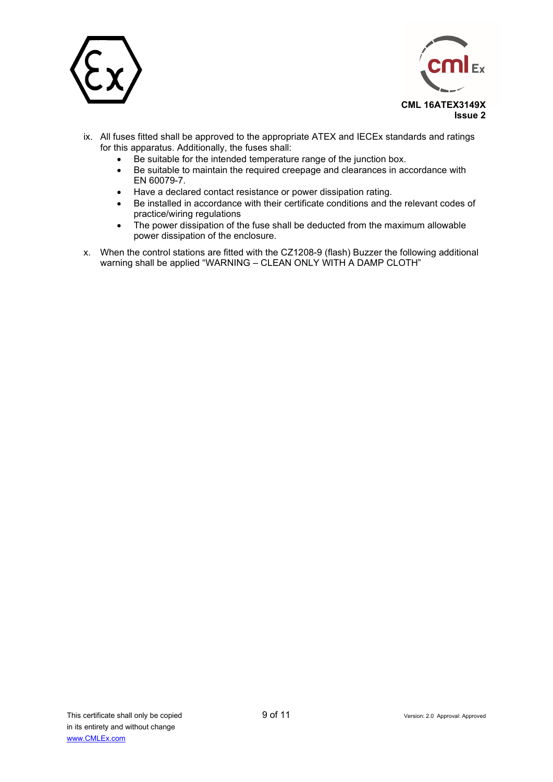



- ix. All fuses fitted shall be approved to the appropriate ATEX and IECEx standards and ratings for this apparatus. Additionally, the fuses shall:
	- Be suitable for the intended temperature range of the junction box.
	- Be suitable to maintain the required creepage and clearances in accordance with EN 60079-7.
	- Have a declared contact resistance or power dissipation rating.
	- Be installed in accordance with their certificate conditions and the relevant codes of practice/wiring regulations
	- The power dissipation of the fuse shall be deducted from the maximum allowable power dissipation of the enclosure.
- x. When the control stations are fitted with the CZ1208-9 (flash) Buzzer the following additional warning shall be applied "WARNING - CLEAN ONLY WITH A DAMP CLOTH"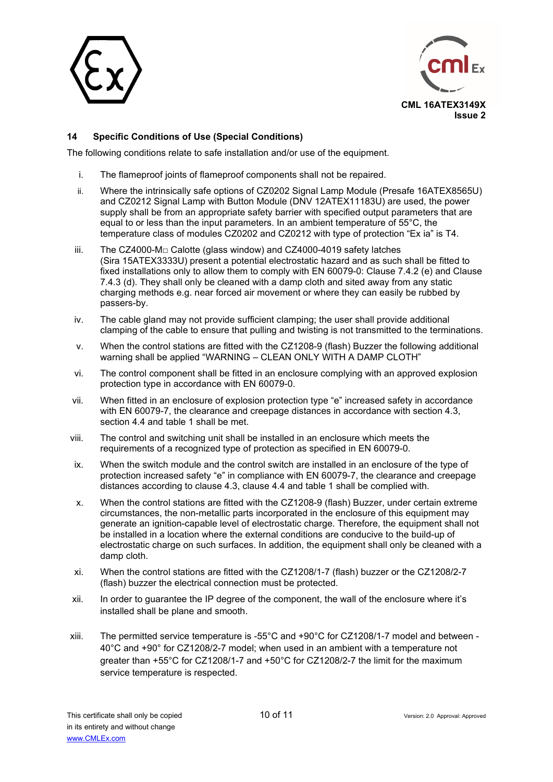



## **14 Specific Conditions of Use (Special Conditions)**

The following conditions relate to safe installation and/or use of the equipment.

- i. The flameproof joints of flameproof components shall not be repaired.
- ii. Where the intrinsically safe options of CZ0202 Signal Lamp Module (Presafe 16ATEX8565U) and CZ0212 Signal Lamp with Button Module (DNV 12ATEX11183U) are used, the power supply shall be from an appropriate safety barrier with specified output parameters that are equal to or less than the input parameters. In an ambient temperature of 55°C, the temperature class of modules CZ0202 and CZ0212 with type of protection "Ex ia" is T4.
- iii. The CZ4000-M□ Calotte (glass window) and CZ4000-4019 safety latches (Sira 15ATEX3333U) present a potential electrostatic hazard and as such shall be fitted to fixed installations only to allow them to comply with EN 60079-0: Clause 7.4.2 (e) and Clause 7.4.3 (d). They shall only be cleaned with a damp cloth and sited away from any static charging methods e.g. near forced air movement or where they can easily be rubbed by passers-by.
- iv. The cable gland may not provide sufficient clamping; the user shall provide additional clamping of the cable to ensure that pulling and twisting is not transmitted to the terminations.
- v. When the control stations are fitted with the CZ1208-9 (flash) Buzzer the following additional warning shall be applied "WARNING – CLEAN ONLY WITH A DAMP CLOTH"
- vi. The control component shall be fitted in an enclosure complying with an approved explosion protection type in accordance with EN 60079-0.
- vii. When fitted in an enclosure of explosion protection type "e" increased safety in accordance with EN 60079-7, the clearance and creepage distances in accordance with section 4.3, section 4.4 and table 1 shall be met.
- viii. The control and switching unit shall be installed in an enclosure which meets the requirements of a recognized type of protection as specified in EN 60079-0.
- ix. When the switch module and the control switch are installed in an enclosure of the type of protection increased safety "e" in compliance with EN 60079-7, the clearance and creepage distances according to clause 4.3, clause 4.4 and table 1 shall be complied with.
- x. When the control stations are fitted with the CZ1208-9 (flash) Buzzer, under certain extreme circumstances, the non-metallic parts incorporated in the enclosure of this equipment may generate an ignition-capable level of electrostatic charge. Therefore, the equipment shall not be installed in a location where the external conditions are conducive to the build-up of electrostatic charge on such surfaces. In addition, the equipment shall only be cleaned with a damp cloth.
- xi. When the control stations are fitted with the CZ1208/1-7 (flash) buzzer or the CZ1208/2-7 (flash) buzzer the electrical connection must be protected.
- xii. In order to guarantee the IP degree of the component, the wall of the enclosure where it's installed shall be plane and smooth.
- xiii. The permitted service temperature is -55°C and +90°C for CZ1208/1-7 model and between 40°C and +90° for CZ1208/2-7 model; when used in an ambient with a temperature not greater than +55°C for CZ1208/1-7 and +50°C for CZ1208/2-7 the limit for the maximum service temperature is respected.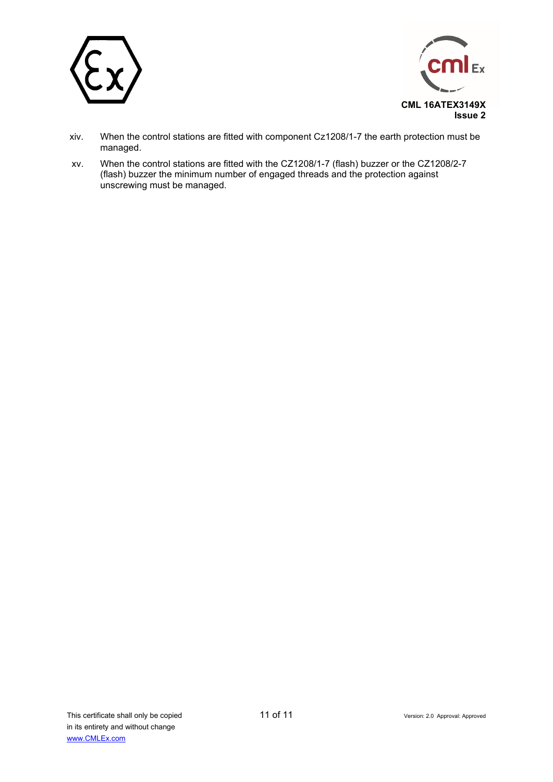



- xiv. When the control stations are fitted with component Cz1208/1-7 the earth protection must be managed.
- xv. When the control stations are fitted with the CZ1208/1-7 (flash) buzzer or the CZ1208/2-7 (flash) buzzer the minimum number of engaged threads and the protection against unscrewing must be managed.